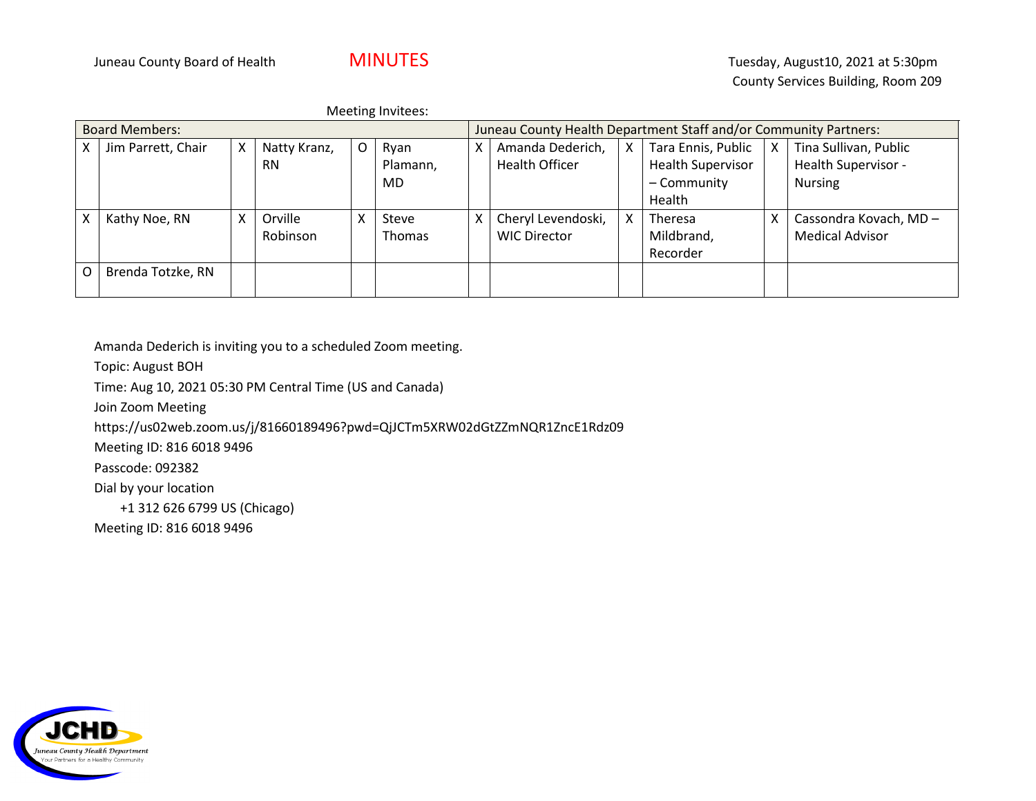Meeting Invitees:

| <b>Board Members:</b> |                    |   |              | Juneau County Health Department Staff and/or Community Partners: |               |   |                     |   |                          |   |                        |
|-----------------------|--------------------|---|--------------|------------------------------------------------------------------|---------------|---|---------------------|---|--------------------------|---|------------------------|
| x                     | Jim Parrett, Chair | X | Natty Kranz, | O                                                                | Ryan          | X | Amanda Dederich,    | X | Tara Ennis, Public       | X | Tina Sullivan, Public  |
|                       |                    |   | <b>RN</b>    |                                                                  | Plamann,      |   | Health Officer      |   | <b>Health Supervisor</b> |   | Health Supervisor -    |
|                       |                    |   |              |                                                                  | MD            |   |                     |   | - Community              |   | <b>Nursing</b>         |
|                       |                    |   |              |                                                                  |               |   |                     |   | Health                   |   |                        |
| Χ                     | Kathy Noe, RN      | x | Orville      |                                                                  | Steve         | X | Cheryl Levendoski,  | x | <b>Theresa</b>           | х | Cassondra Kovach, MD - |
|                       |                    |   | Robinson     |                                                                  | <b>Thomas</b> |   | <b>WIC Director</b> |   | Mildbrand,               |   | <b>Medical Advisor</b> |
|                       |                    |   |              |                                                                  |               |   |                     |   | Recorder                 |   |                        |
| O                     | Brenda Totzke, RN  |   |              |                                                                  |               |   |                     |   |                          |   |                        |
|                       |                    |   |              |                                                                  |               |   |                     |   |                          |   |                        |

Amanda Dederich is inviting you to a scheduled Zoom meeting.

Topic: August BOH

Time: Aug 10, 2021 05:30 PM Central Time (US and Canada)

Join Zoom Meeting

https://us02web.zoom.us/j/81660189496?pwd=QjJCTm5XRW02dGtZZmNQR1ZncE1Rdz09

Meeting ID: 816 6018 9496

Passcode: 092382

Dial by your location

+1 312 626 6799 US (Chicago)

Meeting ID: 816 6018 9496

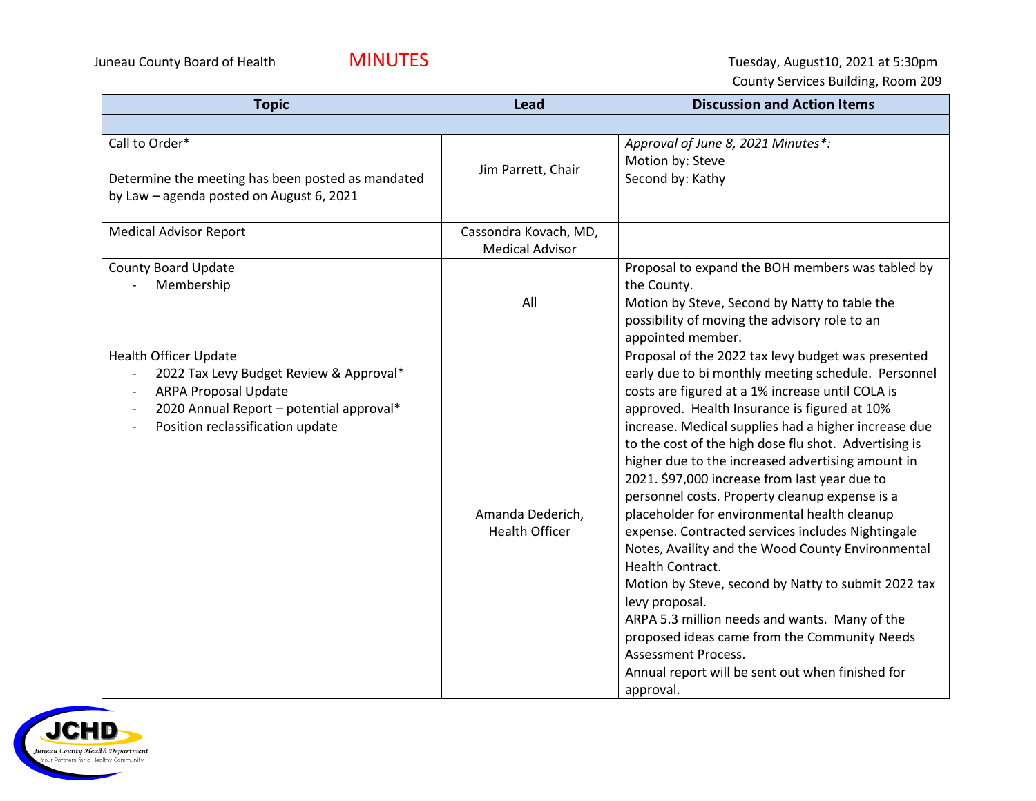Juneau County Board of Health **MINUTES MINUTES** Tuesday, August10, 2021 at 5:30pm County Services Building, Room 209

| <b>Topic</b>                                                                                                                                                                                                       | Lead                                            | <b>Discussion and Action Items</b>                                                                                                                                                                                                                                                                                                                                                                                                                                                                                                                                                                                                                                                                                                                                                                                                                                                                                                     |
|--------------------------------------------------------------------------------------------------------------------------------------------------------------------------------------------------------------------|-------------------------------------------------|----------------------------------------------------------------------------------------------------------------------------------------------------------------------------------------------------------------------------------------------------------------------------------------------------------------------------------------------------------------------------------------------------------------------------------------------------------------------------------------------------------------------------------------------------------------------------------------------------------------------------------------------------------------------------------------------------------------------------------------------------------------------------------------------------------------------------------------------------------------------------------------------------------------------------------------|
|                                                                                                                                                                                                                    |                                                 |                                                                                                                                                                                                                                                                                                                                                                                                                                                                                                                                                                                                                                                                                                                                                                                                                                                                                                                                        |
| Call to Order*<br>Determine the meeting has been posted as mandated<br>by Law - agenda posted on August 6, 2021                                                                                                    | Jim Parrett, Chair                              | Approval of June 8, 2021 Minutes*:<br>Motion by: Steve<br>Second by: Kathy                                                                                                                                                                                                                                                                                                                                                                                                                                                                                                                                                                                                                                                                                                                                                                                                                                                             |
| <b>Medical Advisor Report</b>                                                                                                                                                                                      | Cassondra Kovach, MD,<br><b>Medical Advisor</b> |                                                                                                                                                                                                                                                                                                                                                                                                                                                                                                                                                                                                                                                                                                                                                                                                                                                                                                                                        |
| County Board Update<br>Membership                                                                                                                                                                                  | All                                             | Proposal to expand the BOH members was tabled by<br>the County.<br>Motion by Steve, Second by Natty to table the<br>possibility of moving the advisory role to an<br>appointed member.                                                                                                                                                                                                                                                                                                                                                                                                                                                                                                                                                                                                                                                                                                                                                 |
| <b>Health Officer Update</b><br>2022 Tax Levy Budget Review & Approval*<br>$\overline{\phantom{a}}$<br><b>ARPA Proposal Update</b><br>2020 Annual Report - potential approval*<br>Position reclassification update | Amanda Dederich,<br><b>Health Officer</b>       | Proposal of the 2022 tax levy budget was presented<br>early due to bi monthly meeting schedule. Personnel<br>costs are figured at a 1% increase until COLA is<br>approved. Health Insurance is figured at 10%<br>increase. Medical supplies had a higher increase due<br>to the cost of the high dose flu shot. Advertising is<br>higher due to the increased advertising amount in<br>2021. \$97,000 increase from last year due to<br>personnel costs. Property cleanup expense is a<br>placeholder for environmental health cleanup<br>expense. Contracted services includes Nightingale<br>Notes, Availity and the Wood County Environmental<br>Health Contract.<br>Motion by Steve, second by Natty to submit 2022 tax<br>levy proposal.<br>ARPA 5.3 million needs and wants. Many of the<br>proposed ideas came from the Community Needs<br>Assessment Process.<br>Annual report will be sent out when finished for<br>approval. |

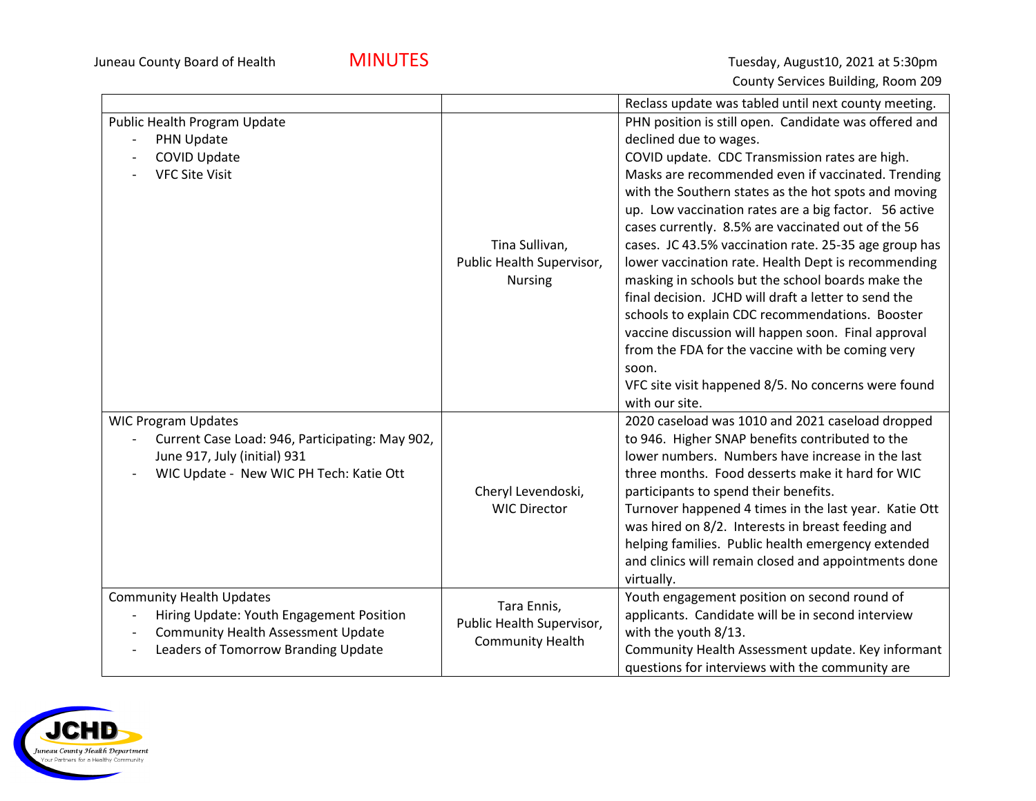

|                                                                                                                                                                                             |                                                                     | Reclass update was tabled until next county meeting.                                                                                                                                                                                                                                                                                                                                                                                                                                                                                                                                                                                                                                                                                                                                                                                        |
|---------------------------------------------------------------------------------------------------------------------------------------------------------------------------------------------|---------------------------------------------------------------------|---------------------------------------------------------------------------------------------------------------------------------------------------------------------------------------------------------------------------------------------------------------------------------------------------------------------------------------------------------------------------------------------------------------------------------------------------------------------------------------------------------------------------------------------------------------------------------------------------------------------------------------------------------------------------------------------------------------------------------------------------------------------------------------------------------------------------------------------|
| Public Health Program Update<br>PHN Update<br><b>COVID Update</b><br><b>VFC Site Visit</b>                                                                                                  | Tina Sullivan,<br>Public Health Supervisor,<br><b>Nursing</b>       | PHN position is still open. Candidate was offered and<br>declined due to wages.<br>COVID update. CDC Transmission rates are high.<br>Masks are recommended even if vaccinated. Trending<br>with the Southern states as the hot spots and moving<br>up. Low vaccination rates are a big factor. 56 active<br>cases currently. 8.5% are vaccinated out of the 56<br>cases. JC 43.5% vaccination rate. 25-35 age group has<br>lower vaccination rate. Health Dept is recommending<br>masking in schools but the school boards make the<br>final decision. JCHD will draft a letter to send the<br>schools to explain CDC recommendations. Booster<br>vaccine discussion will happen soon. Final approval<br>from the FDA for the vaccine with be coming very<br>soon.<br>VFC site visit happened 8/5. No concerns were found<br>with our site. |
| <b>WIC Program Updates</b><br>Current Case Load: 946, Participating: May 902,<br>June 917, July (initial) 931<br>WIC Update - New WIC PH Tech: Katie Ott                                    | Cheryl Levendoski,<br><b>WIC Director</b>                           | 2020 caseload was 1010 and 2021 caseload dropped<br>to 946. Higher SNAP benefits contributed to the<br>lower numbers. Numbers have increase in the last<br>three months. Food desserts make it hard for WIC<br>participants to spend their benefits.<br>Turnover happened 4 times in the last year. Katie Ott<br>was hired on 8/2. Interests in breast feeding and<br>helping families. Public health emergency extended<br>and clinics will remain closed and appointments done<br>virtually.                                                                                                                                                                                                                                                                                                                                              |
| <b>Community Health Updates</b><br>Hiring Update: Youth Engagement Position<br><b>Community Health Assessment Update</b><br>$\overline{\phantom{a}}$<br>Leaders of Tomorrow Branding Update | Tara Ennis,<br>Public Health Supervisor,<br><b>Community Health</b> | Youth engagement position on second round of<br>applicants. Candidate will be in second interview<br>with the youth 8/13.<br>Community Health Assessment update. Key informant<br>questions for interviews with the community are                                                                                                                                                                                                                                                                                                                                                                                                                                                                                                                                                                                                           |